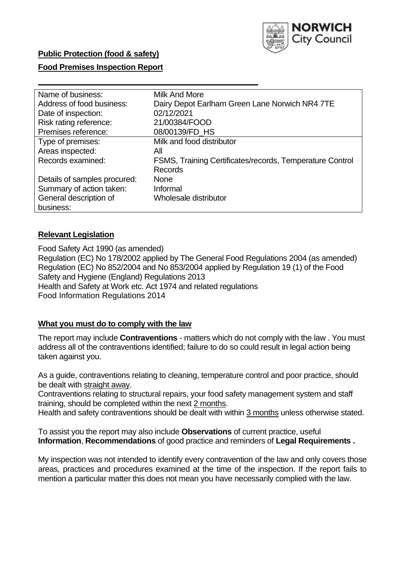

## **Public Protection (food & safety)**

## **Food Premises Inspection Report**

| Name of business:            | Milk And More                                            |
|------------------------------|----------------------------------------------------------|
| Address of food business:    | Dairy Depot Earlham Green Lane Norwich NR4 7TE           |
| Date of inspection:          | 02/12/2021                                               |
| Risk rating reference:       | 21/00384/FOOD                                            |
| Premises reference:          | 08/00139/FD_HS                                           |
| Type of premises:            | Milk and food distributor                                |
| Areas inspected:             | All                                                      |
| Records examined:            | FSMS, Training Certificates/records, Temperature Control |
|                              | <b>Records</b>                                           |
| Details of samples procured: | <b>None</b>                                              |
| Summary of action taken:     | Informal                                                 |
| General description of       | Wholesale distributor                                    |
| business:                    |                                                          |

## **Relevant Legislation**

 Food Safety Act 1990 (as amended) Regulation (EC) No 178/2002 applied by The General Food Regulations 2004 (as amended) Regulation (EC) No 852/2004 and No 853/2004 applied by Regulation 19 (1) of the Food Safety and Hygiene (England) Regulations 2013 Health and Safety at Work etc. Act 1974 and related regulations Food Information Regulations 2014

## **What you must do to comply with the law**

 The report may include **Contraventions** - matters which do not comply with the law . You must address all of the contraventions identified; failure to do so could result in legal action being taken against you.

 As a guide, contraventions relating to cleaning, temperature control and poor practice, should be dealt with straight away.

 Contraventions relating to structural repairs, your food safety management system and staff training, should be completed within the next 2 months.

Health and safety contraventions should be dealt with within 3 months unless otherwise stated.

 To assist you the report may also include **Observations** of current practice, useful **Information**, **Recommendations** of good practice and reminders of **Legal Requirements .** 

 My inspection was not intended to identify every contravention of the law and only covers those areas, practices and procedures examined at the time of the inspection. If the report fails to mention a particular matter this does not mean you have necessarily complied with the law.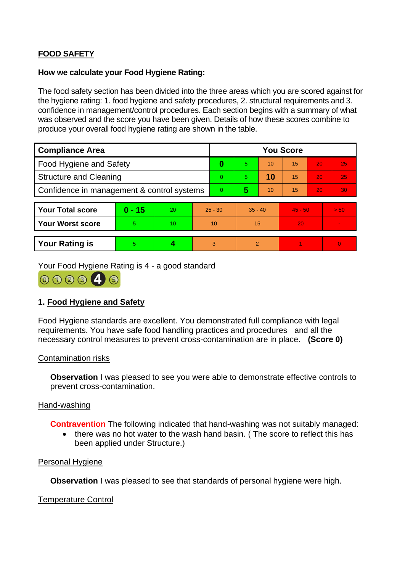# **FOOD SAFETY**

## **How we calculate your Food Hygiene Rating:**

 The food safety section has been divided into the three areas which you are scored against for the hygiene rating: 1. food hygiene and safety procedures, 2. structural requirements and 3. confidence in management/control procedures. Each section begins with a summary of what was observed and the score you have been given. Details of how these scores combine to produce your overall food hygiene rating are shown in the table.

| <b>Compliance Area</b>                     |          |    |                | <b>You Score</b> |                |    |           |    |          |  |  |
|--------------------------------------------|----------|----|----------------|------------------|----------------|----|-----------|----|----------|--|--|
| Food Hygiene and Safety                    |          |    | 0              | 5.               | 10             | 15 | 20        | 25 |          |  |  |
| <b>Structure and Cleaning</b>              |          |    | $\Omega$       | 5.               | 10             | 15 | 20        | 25 |          |  |  |
| Confidence in management & control systems |          |    | $\overline{0}$ | 5                | 10             | 15 | 20        | 30 |          |  |  |
|                                            |          |    |                |                  |                |    |           |    |          |  |  |
| <b>Your Total score</b>                    | $0 - 15$ | 20 | $25 - 30$      |                  | $35 - 40$      |    | $45 - 50$ |    | > 50     |  |  |
| <b>Your Worst score</b>                    | 5        | 10 | 10             |                  | 15             |    | 20        |    |          |  |  |
|                                            |          |    |                |                  |                |    |           |    |          |  |  |
| <b>Your Rating is</b>                      | 5        |    |                | 3                | $\overline{2}$ |    |           |    | $\Omega$ |  |  |

Your Food Hygiene Rating is 4 - a good standard



## **1. Food Hygiene and Safety**

 requirements. You have safe food handling practices and procedures and all the Food Hygiene standards are excellent. You demonstrated full compliance with legal necessary control measures to prevent cross-contamination are in place. **(Score 0)** 

#### Contamination risks

**Observation** I was pleased to see you were able to demonstrate effective controls to prevent cross-contamination.

## Hand-washing

**Contravention** The following indicated that hand-washing was not suitably managed:

• there was no hot water to the wash hand basin. ( The score to reflect this has been applied under Structure.)

## Personal Hygiene

**Observation** I was pleased to see that standards of personal hygiene were high.

## Temperature Control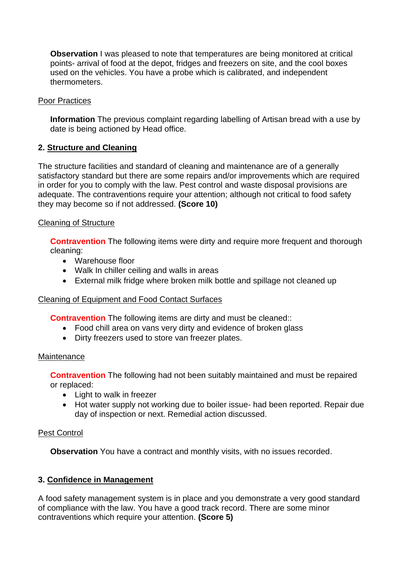**Observation** I was pleased to note that temperatures are being monitored at critical used on the vehicles. You have a probe which is calibrated, and independent points- arrival of food at the depot, fridges and freezers on site, and the cool boxes thermometers.

## Poor Practices

 **Information** The previous complaint regarding labelling of Artisan bread with a use by date is being actioned by Head office.

## **2. Structure and Cleaning**

The structure facilities and standard of cleaning and maintenance are of a generally satisfactory standard but there are some repairs and/or improvements which are required in order for you to comply with the law. Pest control and waste disposal provisions are adequate. The contraventions require your attention; although not critical to food safety they may become so if not addressed. **(Score 10)** 

## Cleaning of Structure

**Contravention** The following items were dirty and require more frequent and thorough cleaning:

- Warehouse floor
- Walk In chiller ceiling and walls in areas
- External milk fridge where broken milk bottle and spillage not cleaned up

## Cleaning of Equipment and Food Contact Surfaces

**Contravention** The following items are dirty and must be cleaned::

- Food chill area on vans very dirty and evidence of broken glass
- Dirty freezers used to store van freezer plates.

## **Maintenance**

**Contravention** The following had not been suitably maintained and must be repaired or replaced:

- Light to walk in freezer
- Hot water supply not working due to boiler issue- had been reported. Repair due day of inspection or next. Remedial action discussed.

## Pest Control

**Observation** You have a contract and monthly visits, with no issues recorded.

## **3. Confidence in Management**

A food safety management system is in place and you demonstrate a very good standard of compliance with the law. You have a good track record. There are some minor contraventions which require your attention. **(Score 5)**